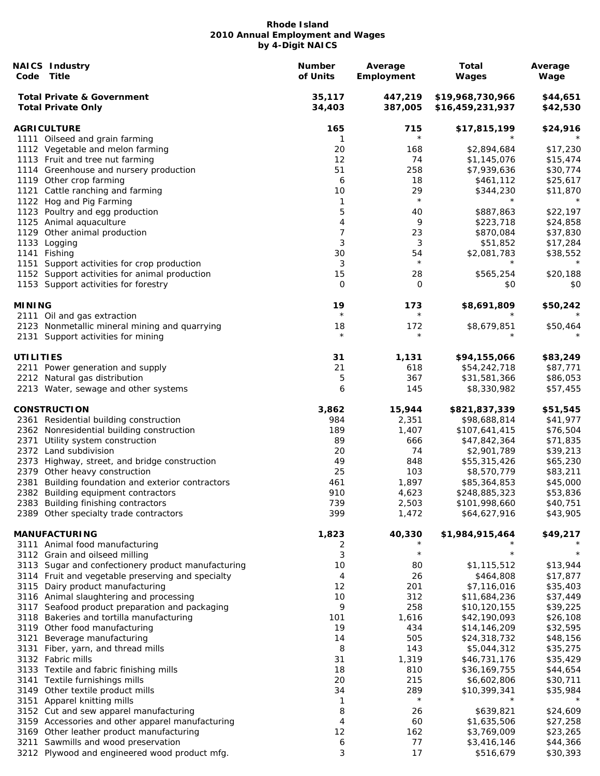| Code             | <b>NAICS Industry</b><br>Title                                                      | <b>Number</b><br>of Units | Average<br>Employment | <b>Total</b><br>Wages                | Average<br>Wage      |
|------------------|-------------------------------------------------------------------------------------|---------------------------|-----------------------|--------------------------------------|----------------------|
|                  | <b>Total Private &amp; Government</b><br><b>Total Private Only</b>                  | 35,117<br>34,403          | 447,219<br>387,005    | \$19,968,730,966<br>\$16,459,231,937 | \$44,651<br>\$42,530 |
|                  | <b>AGRICULTURE</b>                                                                  | 165                       | 715                   | \$17,815,199                         | \$24,916             |
|                  | 1111 Oilseed and grain farming                                                      | 1                         | $\star$               |                                      |                      |
|                  | 1112 Vegetable and melon farming                                                    | 20                        | 168                   | \$2,894,684                          | \$17,230             |
|                  | 1113 Fruit and tree nut farming                                                     | 12                        | 74                    | \$1,145,076                          | \$15,474             |
|                  | 1114 Greenhouse and nursery production                                              | 51                        | 258                   | \$7,939,636                          | \$30,774             |
|                  | 1119 Other crop farming                                                             | 6                         | 18                    | \$461,112                            | \$25,617             |
|                  | 1121 Cattle ranching and farming                                                    | 10                        | 29                    | \$344,230                            | \$11,870             |
|                  | 1122 Hog and Pig Farming                                                            | 1                         | $\star$               | $\star$                              | $^\star$             |
|                  | 1123 Poultry and egg production                                                     | 5                         | 40                    | \$887,863                            | \$22,197             |
|                  | 1125 Animal aquaculture                                                             | 4                         | 9                     | \$223,718                            | \$24,858             |
|                  | 1129 Other animal production                                                        | 7                         | 23                    | \$870,084                            | \$37,830             |
|                  | 1133 Logging                                                                        | 3                         | 3                     | \$51,852                             | \$17,284             |
| 1141             | Fishing                                                                             | 30                        | 54                    | \$2,081,783                          | \$38,552             |
| 1151             | Support activities for crop production                                              | 3                         | $\star$               | $^\star$                             | $^\star$             |
|                  | 1152 Support activities for animal production                                       | 15                        | 28                    | \$565,254                            | \$20,188             |
|                  | 1153 Support activities for forestry                                                | 0                         | 0                     | \$0                                  | \$0                  |
|                  |                                                                                     |                           |                       |                                      |                      |
| <b>MINING</b>    |                                                                                     | 19<br>$\star$             | 173                   | \$8,691,809                          | \$50,242             |
|                  | 2111 Oil and gas extraction                                                         |                           | $^\star$              |                                      |                      |
|                  | 2123 Nonmetallic mineral mining and quarrying<br>2131 Support activities for mining | 18<br>$\star$             | 172<br>$^\star$       | \$8,679,851                          | \$50,464             |
| <b>UTILITIES</b> |                                                                                     | 31                        | 1,131                 | \$94,155,066                         | \$83,249             |
|                  | 2211 Power generation and supply                                                    | 21                        | 618                   | \$54,242,718                         | \$87,771             |
|                  | 2212 Natural gas distribution                                                       | 5                         | 367                   | \$31,581,366                         | \$86,053             |
|                  | 2213 Water, sewage and other systems                                                | 6                         | 145                   | \$8,330,982                          | \$57,455             |
|                  | <b>CONSTRUCTION</b>                                                                 | 3,862                     | 15,944                | \$821,837,339                        | \$51,545             |
|                  | 2361 Residential building construction                                              | 984                       | 2,351                 | \$98,688,814                         | \$41,977             |
|                  | 2362 Nonresidential building construction                                           | 189                       | 1,407                 | \$107,641,415                        | \$76,504             |
| 2371             | Utility system construction                                                         | 89                        | 666                   | \$47,842,364                         | \$71,835             |
|                  | 2372 Land subdivision                                                               | 20                        | 74                    | \$2,901,789                          | \$39,213             |
|                  | 2373 Highway, street, and bridge construction                                       | 49                        | 848                   | \$55,315,426                         | \$65,230             |
|                  | 2379 Other heavy construction                                                       | 25                        | 103                   | \$8,570,779                          | \$83,211             |
| 2381             | Building foundation and exterior contractors                                        | 461                       | 1,897                 | \$85,364,853                         | \$45,000             |
|                  | 2382 Building equipment contractors                                                 | 910                       | 4,623                 | \$248,885,323                        | \$53,836             |
|                  | 2383 Building finishing contractors                                                 | 739                       | 2,503                 | \$101,998,660                        | \$40,751             |
|                  | 2389 Other specialty trade contractors                                              | 399                       | 1,472                 | \$64,627,916                         | \$43,905             |
|                  | <b>MANUFACTURING</b>                                                                | 1,823                     | 40,330                | \$1,984,915,464                      | \$49,217             |
|                  | 3111 Animal food manufacturing                                                      | 2                         |                       |                                      |                      |
|                  | 3112 Grain and oilseed milling                                                      | 3                         | $\star$               | $\star$                              |                      |
|                  | 3113 Sugar and confectionery product manufacturing                                  | 10                        | 80                    | \$1,115,512                          | \$13,944             |
|                  | 3114 Fruit and vegetable preserving and specialty                                   | 4                         | 26                    | \$464,808                            | \$17,877             |
|                  | 3115 Dairy product manufacturing                                                    | 12                        | 201                   | \$7,116,016                          | \$35,403             |
|                  | 3116 Animal slaughtering and processing                                             | 10                        | 312                   | \$11,684,236                         | \$37,449             |
|                  | 3117 Seafood product preparation and packaging                                      | 9                         | 258                   | \$10,120,155                         | \$39,225             |
|                  | 3118 Bakeries and tortilla manufacturing                                            | 101                       | 1,616                 | \$42,190,093                         | \$26,108             |
|                  | 3119 Other food manufacturing                                                       | 19                        | 434                   | \$14,146,209                         | \$32,595             |
| 3121             | Beverage manufacturing                                                              | 14                        | 505                   | \$24,318,732                         | \$48,156             |
| 3131             | Fiber, yarn, and thread mills                                                       | 8                         | 143                   | \$5,044,312                          | \$35,275             |
|                  | 3132 Fabric mills                                                                   | 31                        | 1,319                 | \$46,731,176                         | \$35,429             |
|                  | 3133 Textile and fabric finishing mills                                             | 18                        | 810                   | \$36,169,755                         | \$44,654             |
| 3141             | Textile furnishings mills                                                           | 20                        | 215                   | \$6,602,806                          | \$30,711             |
|                  | 3149 Other textile product mills                                                    | 34                        | 289                   | \$10,399,341                         | \$35,984             |
|                  | 3151 Apparel knitting mills                                                         | 1                         | $\star$               | $\star$                              |                      |
|                  | 3152 Cut and sew apparel manufacturing                                              | 8                         | 26                    | \$639,821                            | \$24,609             |
|                  | 3159 Accessories and other apparel manufacturing                                    | 4                         | 60                    | \$1,635,506                          | \$27,258             |
|                  | 3169 Other leather product manufacturing                                            | 12                        | 162                   | \$3,769,009                          | \$23,265             |
| 3211             | Sawmills and wood preservation                                                      | 6                         | 77                    | \$3,416,146                          | \$44,366             |
|                  | 3212 Plywood and engineered wood product mfg.                                       | 3                         | 17                    | \$516,679                            | \$30,393             |
|                  |                                                                                     |                           |                       |                                      |                      |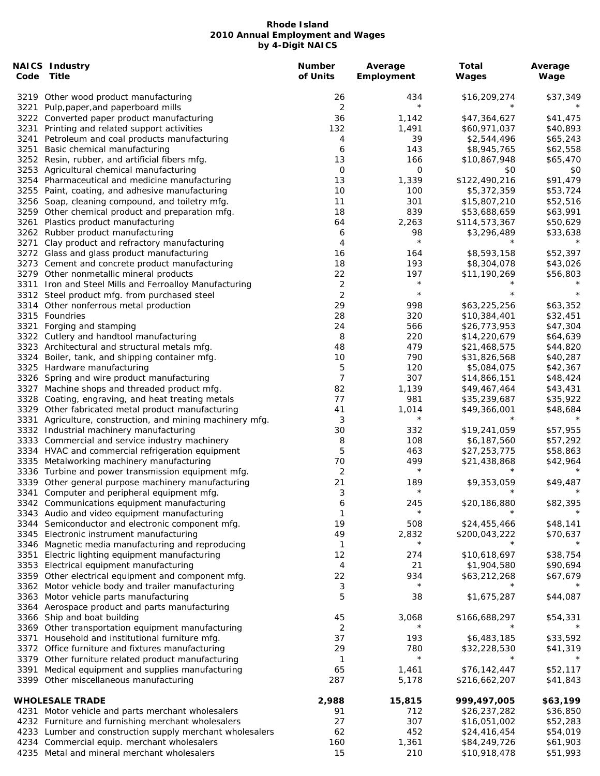| Code | <b>NAICS Industry</b><br><b>Title</b>                    | <b>Number</b><br>of Units | Average<br>Employment | Total<br>Wages           | Average<br>Wage     |
|------|----------------------------------------------------------|---------------------------|-----------------------|--------------------------|---------------------|
|      | 3219 Other wood product manufacturing                    | 26                        | 434                   | \$16,209,274             | \$37,349            |
| 3221 | Pulp, paper, and paperboard mills                        | 2                         | $\star$               |                          |                     |
|      | 3222 Converted paper product manufacturing               | 36                        | 1,142                 | \$47,364,627             | \$41,475            |
| 3231 | Printing and related support activities                  | 132                       | 1,491                 | \$60,971,037             | \$40,893            |
| 3241 | Petroleum and coal products manufacturing                | 4                         | 39                    | \$2,544,496              | \$65,243            |
| 3251 | Basic chemical manufacturing                             | 6                         | 143                   | \$8,945,765              | \$62,558            |
|      |                                                          |                           |                       |                          |                     |
|      | 3252 Resin, rubber, and artificial fibers mfg.           | 13                        | 166                   | \$10,867,948             | \$65,470            |
|      | 3253 Agricultural chemical manufacturing                 | $\overline{0}$            | $\mathsf O$           | \$0                      | \$0                 |
|      | 3254 Pharmaceutical and medicine manufacturing           | 13                        | 1,339                 | \$122,490,216            | \$91,479            |
|      | 3255 Paint, coating, and adhesive manufacturing          | 10                        | 100                   | \$5,372,359              | \$53,724            |
|      | 3256 Soap, cleaning compound, and toiletry mfg.          | 11                        | 301                   | \$15,807,210             | \$52,516            |
|      | 3259 Other chemical product and preparation mfg.         | 18                        | 839                   | \$53,688,659             | \$63,991            |
| 3261 | Plastics product manufacturing                           | 64                        | 2,263                 | \$114,573,367            | \$50,629            |
|      | 3262 Rubber product manufacturing                        | 6                         | 98                    | \$3,296,489              | \$33,638            |
| 3271 | Clay product and refractory manufacturing                | 4                         | $\star$               |                          |                     |
|      | 3272 Glass and glass product manufacturing               | 16                        | 164                   | \$8,593,158              | \$52,397            |
|      | 3273 Cement and concrete product manufacturing           | 18                        | 193                   | \$8,304,078              | \$43,026            |
|      |                                                          |                           |                       |                          |                     |
|      | 3279 Other nonmetallic mineral products                  | 22                        | 197<br>$\star$        | \$11,190,269             | \$56,803            |
|      | 3311 Iron and Steel Mills and Ferroalloy Manufacturing   | $\overline{c}$            |                       |                          |                     |
|      | 3312 Steel product mfg. from purchased steel             | 2                         | $\star$               |                          | $\star$             |
|      | 3314 Other nonferrous metal production                   | 29                        | 998                   | \$63,225,256             | \$63,352            |
|      | 3315 Foundries                                           | 28                        | 320                   | \$10,384,401             | \$32,451            |
| 3321 | Forging and stamping                                     | 24                        | 566                   | \$26,773,953             | \$47,304            |
|      | 3322 Cutlery and handtool manufacturing                  | 8                         | 220                   | \$14,220,679             | \$64,639            |
|      | 3323 Architectural and structural metals mfg.            | 48                        | 479                   | \$21,468,575             | \$44,820            |
|      |                                                          |                           |                       |                          |                     |
|      | 3324 Boiler, tank, and shipping container mfg.           | 10                        | 790                   | \$31,826,568             | \$40,287            |
|      | 3325 Hardware manufacturing                              | 5                         | 120                   | \$5,084,075              | \$42,367            |
|      | 3326 Spring and wire product manufacturing               | 7                         | 307                   | \$14,866,151             | \$48,424            |
|      | 3327 Machine shops and threaded product mfg.             | 82                        | 1,139                 | \$49,467,464             | \$43,431            |
|      | 3328 Coating, engraving, and heat treating metals        | 77                        | 981                   | \$35,239,687             | \$35,922            |
|      | 3329 Other fabricated metal product manufacturing        | 41                        | 1,014                 | \$49,366,001             | \$48,684            |
| 3331 | Agriculture, construction, and mining machinery mfg.     | 3                         | $^\star$              |                          |                     |
|      | 3332 Industrial machinery manufacturing                  | 30                        | 332                   | \$19,241,059             | \$57,955            |
|      | 3333 Commercial and service industry machinery           | 8                         | 108                   | \$6,187,560              | \$57,292            |
|      | 3334 HVAC and commercial refrigeration equipment         | 5                         | 463                   | \$27,253,775             | \$58,863            |
|      |                                                          |                           |                       |                          |                     |
|      | 3335 Metalworking machinery manufacturing                | 70                        | 499<br>$\star$        | \$21,438,868<br>$^\star$ | \$42,964<br>$\star$ |
|      | 3336 Turbine and power transmission equipment mfg.       | 2                         |                       |                          |                     |
|      | 3339 Other general purpose machinery manufacturing       | 21                        | 189                   | \$9,353,059              | \$49,487            |
|      | 3341 Computer and peripheral equipment mfg.              | 3                         | $^\star$              |                          | $\star$             |
|      | 3342 Communications equipment manufacturing              | 6                         | 245                   | \$20,186,880             | \$82,395            |
|      | 3343 Audio and video equipment manufacturing             | 1                         | $\star$               |                          |                     |
|      | 3344 Semiconductor and electronic component mfg.         | 19                        | 508                   | \$24,455,466             | \$48,141            |
|      | 3345 Electronic instrument manufacturing                 | 49                        | 2,832                 | \$200,043,222            | \$70,637            |
|      | 3346 Magnetic media manufacturing and reproducing        | 1                         | $^\star$              |                          |                     |
| 3351 |                                                          | 12                        | 274                   | \$10,618,697             | \$38,754            |
|      | Electric lighting equipment manufacturing                |                           |                       |                          |                     |
|      | 3353 Electrical equipment manufacturing                  | 4                         | 21                    | \$1,904,580              | \$90,694            |
|      | 3359 Other electrical equipment and component mfg.       | 22                        | 934                   | \$63,212,268             | \$67,679            |
|      | 3362 Motor vehicle body and trailer manufacturing        | 3                         | $^\star$              |                          |                     |
|      | 3363 Motor vehicle parts manufacturing                   | 5                         | 38                    | \$1,675,287              | \$44,087            |
|      | 3364 Aerospace product and parts manufacturing           |                           |                       |                          |                     |
|      | 3366 Ship and boat building                              | 45                        | 3,068                 | \$166,688,297            | \$54,331            |
|      | 3369 Other transportation equipment manufacturing        | 2                         |                       |                          |                     |
| 3371 | Household and institutional furniture mfg.               | 37                        | 193                   | \$6,483,185              | \$33,592            |
|      |                                                          | 29                        | 780                   |                          |                     |
|      | 3372 Office furniture and fixtures manufacturing         |                           | $^\star$              | \$32,228,530             | \$41,319            |
|      | 3379 Other furniture related product manufacturing       | 1                         |                       |                          |                     |
| 3391 | Medical equipment and supplies manufacturing             | 65                        | 1,461                 | \$76,142,447             | \$52,117            |
|      | 3399 Other miscellaneous manufacturing                   | 287                       | 5,178                 | \$216,662,207            | \$41,843            |
|      |                                                          |                           |                       |                          |                     |
|      | <b>WHOLESALE TRADE</b>                                   | 2,988                     | 15,815                | 999,497,005              | \$63,199            |
|      | 4231 Motor vehicle and parts merchant wholesalers        | 91                        | 712                   | \$26,237,282             | \$36,850            |
|      | 4232 Furniture and furnishing merchant wholesalers       | 27                        | 307                   | \$16,051,002             | \$52,283            |
|      | 4233 Lumber and construction supply merchant wholesalers | 62                        | 452                   | \$24,416,454             | \$54,019            |
|      | 4234 Commercial equip. merchant wholesalers              | 160                       | 1,361                 | \$84,249,726             | \$61,903            |
|      | 4235 Metal and mineral merchant wholesalers              | 15                        | 210                   | \$10,918,478             | \$51,993            |
|      |                                                          |                           |                       |                          |                     |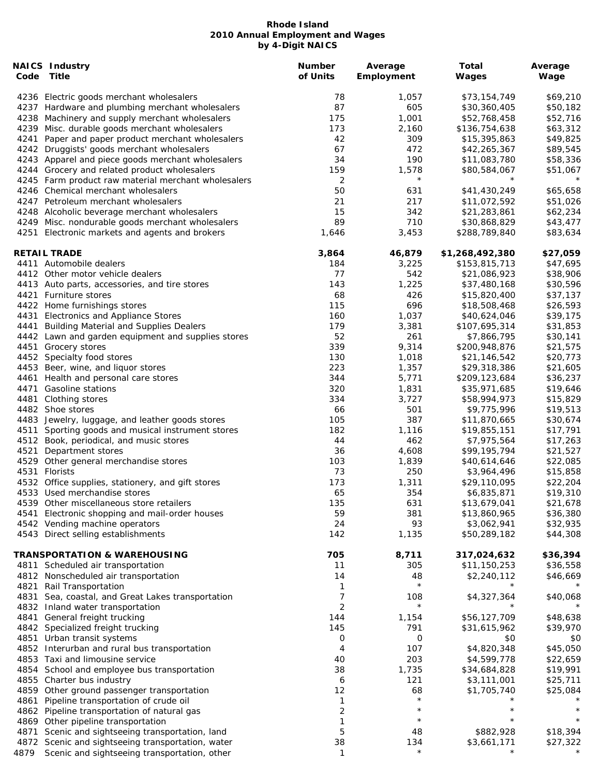| Code | <b>NAICS Industry</b><br>Title                      | <b>Number</b><br>of Units | Average<br>Employment | Total<br><b>Wages</b> | Average<br>Wage |
|------|-----------------------------------------------------|---------------------------|-----------------------|-----------------------|-----------------|
|      | 4236 Electric goods merchant wholesalers            | 78                        | 1,057                 | \$73,154,749          | \$69,210        |
|      | 4237 Hardware and plumbing merchant wholesalers     | 87                        | 605                   | \$30,360,405          | \$50,182        |
|      | 4238 Machinery and supply merchant wholesalers      | 175                       | 1,001                 | \$52,768,458          | \$52,716        |
|      | 4239 Misc. durable goods merchant wholesalers       | 173                       | 2,160                 | \$136,754,638         | \$63,312        |
| 4241 | Paper and paper product merchant wholesalers        | 42                        | 309                   | \$15,395,863          | \$49,825        |
|      | 4242 Druggists' goods merchant wholesalers          | 67                        | 472                   | \$42,265,367          | \$89,545        |
|      | 4243 Apparel and piece goods merchant wholesalers   | 34                        | 190                   | \$11,083,780          | \$58,336        |
|      | 4244 Grocery and related product wholesalers        | 159                       | 1,578                 | \$80,584,067          | \$51,067        |
|      | 4245 Farm product raw material merchant wholesalers | 2                         | $\star$               |                       |                 |
|      | 4246 Chemical merchant wholesalers                  | 50                        | 631                   | \$41,430,249          | \$65,658        |
|      | 4247 Petroleum merchant wholesalers                 | 21                        | 217                   | \$11,072,592          | \$51,026        |
|      | 4248 Alcoholic beverage merchant wholesalers        | 15                        | 342                   | \$21,283,861          | \$62,234        |
|      | 4249 Misc. nondurable goods merchant wholesalers    | 89                        | 710                   | \$30,868,829          | \$43,477        |
| 4251 | Electronic markets and agents and brokers           | 1,646                     | 3,453                 | \$288,789,840         | \$83,634        |
|      | <b>RETAIL TRADE</b>                                 | 3,864                     | 46,879                | \$1,268,492,380       | \$27,059        |
|      | 4411 Automobile dealers                             | 184                       | 3,225                 | \$153,815,713         | \$47,695        |
|      | 4412 Other motor vehicle dealers                    | 77                        | 542                   | \$21,086,923          | \$38,906        |
|      | 4413 Auto parts, accessories, and tire stores       | 143                       | 1,225                 | \$37,480,168          | \$30,596        |
|      | 4421 Furniture stores                               | 68                        | 426                   | \$15,820,400          | \$37,137        |
|      | 4422 Home furnishings stores                        | 115                       | 696                   | \$18,508,468          | \$26,593        |
| 4431 | Electronics and Appliance Stores                    | 160                       | 1,037                 | \$40,624,046          | \$39,175        |
| 4441 | <b>Building Material and Supplies Dealers</b>       | 179                       | 3,381                 | \$107,695,314         | \$31,853        |
|      | 4442 Lawn and garden equipment and supplies stores  | 52                        | 261                   | \$7,866,795           | \$30,141        |
|      | 4451 Grocery stores                                 | 339                       | 9,314                 | \$200,948,876         | \$21,575        |
|      | 4452 Specialty food stores                          | 130                       | 1,018                 | \$21,146,542          | \$20,773        |
|      | 4453 Beer, wine, and liquor stores                  | 223                       | 1,357                 | \$29,318,386          | \$21,605        |
| 4461 | Health and personal care stores                     | 344                       | 5,771                 | \$209,123,684         | \$36,237        |
| 4471 | <b>Gasoline stations</b>                            | 320                       | 1,831                 | \$35,971,685          | \$19,646        |
| 4481 | Clothing stores                                     | 334                       | 3,727                 | \$58,994,973          | \$15,829        |
|      | 4482 Shoe stores                                    | 66                        | 501                   | \$9,775,996           | \$19,513        |
|      | 4483 Jewelry, luggage, and leather goods stores     | 105                       | 387                   | \$11,870,665          | \$30,674        |
| 4511 | Sporting goods and musical instrument stores        | 182                       | 1,116                 | \$19,855,151          | \$17,791        |
|      | 4512 Book, periodical, and music stores             | 44                        | 462                   | \$7,975,564           | \$17,263        |
| 4521 | Department stores                                   | 36                        | 4,608                 | \$99,195,794          | \$21,527        |
|      | 4529 Other general merchandise stores               | 103                       | 1,839                 | \$40,614,646          | \$22,085        |
| 4531 | Florists                                            | 73                        | 250                   | \$3,964,496           | \$15,858        |
|      | 4532 Office supplies, stationery, and gift stores   | 173                       | 1,311                 | \$29,110,095          | \$22,204        |
|      | 4533 Used merchandise stores                        | 65                        | 354                   | \$6,835,871           | \$19,310        |
|      | 4539 Other miscellaneous store retailers            | 135                       | 631                   | \$13,679,041          | \$21,678        |
| 4541 | Electronic shopping and mail-order houses           | 59                        | 381                   | \$13,860,965          | \$36,380        |
|      | 4542 Vending machine operators                      | 24                        | 93                    | \$3,062,941           | \$32,935        |
|      | 4543 Direct selling establishments                  | 142                       | 1,135                 | \$50,289,182          | \$44,308        |
|      | TRANSPORTATION & WAREHOUSING                        | 705                       | 8,711                 | 317,024,632           | \$36,394        |
|      | 4811 Scheduled air transportation                   | 11                        | 305                   | \$11,150,253          | \$36,558        |
|      | 4812 Nonscheduled air transportation                | 14                        | 48                    | \$2,240,112           | \$46,669        |
| 4821 | Rail Transportation                                 | 1                         | $\star$               |                       |                 |
| 4831 | Sea, coastal, and Great Lakes transportation        | 7                         | 108                   | \$4,327,364           | \$40,068        |
|      | 4832 Inland water transportation                    | $\overline{2}$            | $^\star$              |                       |                 |
|      | 4841 General freight trucking                       | 144                       | 1,154                 | \$56,127,709          | \$48,638        |
|      | 4842 Specialized freight trucking                   | 145                       | 791                   | \$31,615,962          | \$39,970        |
|      | 4851 Urban transit systems                          | 0                         | $\mathsf O$           | \$0                   | \$0             |
|      | 4852 Interurban and rural bus transportation        | 4                         | 107                   | \$4,820,348           | \$45,050        |
|      | 4853 Taxi and limousine service                     | 40                        | 203                   | \$4,599,778           | \$22,659        |
|      | 4854 School and employee bus transportation         | 38                        | 1,735                 | \$34,684,828          | \$19,991        |
|      | 4855 Charter bus industry                           | 6                         | 121                   | \$3,111,001           | \$25,711        |
|      | 4859 Other ground passenger transportation          | 12                        | 68                    | \$1,705,740           | \$25,084        |
| 4861 | Pipeline transportation of crude oil                | 1                         | $\star$               |                       |                 |
|      | 4862 Pipeline transportation of natural gas         | 2                         |                       |                       |                 |
|      | 4869 Other pipeline transportation                  | 1                         | $^\star$              | $^\star$              |                 |
| 4871 | Scenic and sightseeing transportation, land         | 5                         | 48                    | \$882,928             | \$18,394        |
|      | 4872 Scenic and sightseeing transportation, water   | 38                        | 134                   | \$3,661,171           | \$27,322        |
| 4879 | Scenic and sightseeing transportation, other        | 1                         | $\star$               |                       |                 |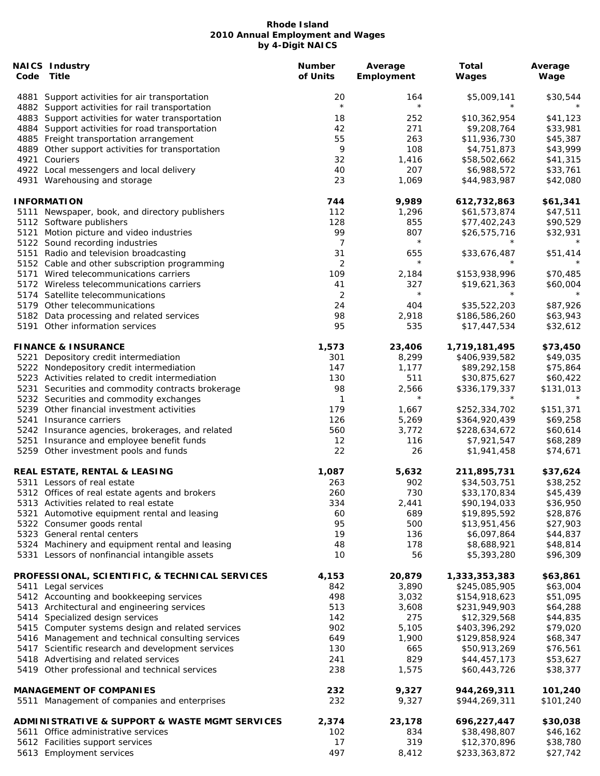| Code | <b>NAICS Industry</b><br>Title                                                                    | <b>Number</b><br>of Units | Average<br>Employment | <b>Total</b><br><b>Wages</b>  | Average<br>Wage      |
|------|---------------------------------------------------------------------------------------------------|---------------------------|-----------------------|-------------------------------|----------------------|
|      | 4881 Support activities for air transportation<br>4882 Support activities for rail transportation | 20<br>$\star$             | 164<br>$\star$        | \$5,009,141<br>$^\star$       | \$30,544             |
|      | 4883 Support activities for water transportation                                                  | 18                        | 252                   | \$10,362,954                  | \$41,123             |
|      | 4884 Support activities for road transportation                                                   | 42                        | 271                   | \$9,208,764                   | \$33,981             |
|      | 4885 Freight transportation arrangement                                                           | 55                        | 263                   | \$11,936,730                  | \$45,387             |
|      | 4889 Other support activities for transportation                                                  | 9                         | 108                   | \$4,751,873                   | \$43,999             |
|      | 4921 Couriers                                                                                     | 32                        | 1,416                 | \$58,502,662                  | \$41,315             |
|      | 4922 Local messengers and local delivery                                                          | 40                        | 207                   | \$6,988,572                   | \$33,761             |
|      | 4931 Warehousing and storage                                                                      | 23                        | 1,069                 | \$44,983,987                  | \$42,080             |
|      | <b>INFORMATION</b>                                                                                | 744                       | 9,989                 | 612,732,863                   | \$61,341             |
|      | 5111 Newspaper, book, and directory publishers                                                    | 112                       | 1,296                 | \$61,573,874                  | \$47,511             |
|      | 5112 Software publishers                                                                          | 128                       | 855                   | \$77,402,243                  | \$90,529             |
|      | 5121 Motion picture and video industries                                                          | 99                        | 807                   | \$26,575,716                  | \$32,931             |
|      | 5122 Sound recording industries                                                                   | 7                         | $\star$               |                               |                      |
|      | 5151 Radio and television broadcasting                                                            | 31                        | 655                   | \$33,676,487                  | \$51,414             |
|      | 5152 Cable and other subscription programming                                                     | $\overline{2}$            | $\star$               |                               |                      |
|      | 5171 Wired telecommunications carriers                                                            | 109                       | 2,184                 | \$153,938,996                 | \$70,485             |
|      | 5172 Wireless telecommunications carriers                                                         | 41                        | 327                   | \$19,621,363                  | \$60,004             |
|      | 5174 Satellite telecommunications                                                                 | 2                         | $\star$               | $^\star$                      |                      |
|      | 5179 Other telecommunications                                                                     | 24                        | 404                   | \$35,522,203                  | \$87,926             |
|      |                                                                                                   | 98                        | 2,918                 |                               | \$63,943             |
|      | 5182 Data processing and related services<br>5191 Other information services                      | 95                        | 535                   | \$186,586,260<br>\$17,447,534 | \$32,612             |
|      | <b>FINANCE &amp; INSURANCE</b>                                                                    | 1,573                     | 23,406                | 1,719,181,495                 | \$73,450             |
|      | 5221 Depository credit intermediation                                                             | 301                       | 8,299                 | \$406,939,582                 | \$49,035             |
|      | 5222 Nondepository credit intermediation                                                          | 147                       | 1,177                 | \$89,292,158                  | \$75,864             |
|      | 5223 Activities related to credit intermediation                                                  | 130                       | 511                   | \$30,875,627                  | \$60,422             |
|      | 5231 Securities and commodity contracts brokerage                                                 | 98                        | 2,566                 | \$336,179,337                 | \$131,013            |
|      |                                                                                                   | 1                         | $^\star$              | $^\star$                      |                      |
|      | 5232 Securities and commodity exchanges                                                           |                           |                       |                               |                      |
|      | 5239 Other financial investment activities                                                        | 179                       | 1,667                 | \$252,334,702                 | \$151,371            |
|      | 5241 Insurance carriers                                                                           | 126                       | 5,269                 | \$364,920,439                 | \$69,258             |
|      | 5242 Insurance agencies, brokerages, and related                                                  | 560                       | 3,772                 | \$228,634,672                 | \$60,614             |
|      | 5251 Insurance and employee benefit funds<br>5259 Other investment pools and funds                | 12<br>22                  | 116<br>26             | \$7,921,547<br>\$1,941,458    | \$68,289<br>\$74,671 |
|      | REAL ESTATE, RENTAL & LEASING                                                                     | 1,087                     | 5,632                 | 211,895,731                   | \$37,624             |
|      | 5311 Lessors of real estate                                                                       | 263                       | 902                   | \$34,503,751                  | \$38,252             |
|      | 5312 Offices of real estate agents and brokers                                                    | 260                       | 730                   | \$33,170,834                  | \$45,439             |
|      | 5313 Activities related to real estate                                                            | 334                       | 2,441                 | \$90,194,033                  | \$36,950             |
|      |                                                                                                   | 60                        | 689                   | \$19,895,592                  | \$28,876             |
|      | 5321 Automotive equipment rental and leasing<br>5322 Consumer goods rental                        | 95                        | 500                   |                               | \$27,903             |
|      | 5323 General rental centers                                                                       |                           |                       | \$13,951,456                  |                      |
|      |                                                                                                   | 19                        | 136                   | \$6,097,864                   | \$44,837             |
|      | 5324 Machinery and equipment rental and leasing                                                   | 48                        | 178                   | \$8,688,921                   | \$48,814             |
|      | 5331 Lessors of nonfinancial intangible assets                                                    | 10                        | 56                    | \$5,393,280                   | \$96,309             |
|      | PROFESSIONAL, SCIENTIFIC, & TECHNICAL SERVICES                                                    | 4,153                     | 20,879                | 1,333,353,383                 | \$63,861             |
|      | 5411 Legal services                                                                               | 842                       | 3,890                 | \$245,085,905                 | \$63,004             |
|      | 5412 Accounting and bookkeeping services                                                          | 498                       | 3,032                 | \$154,918,623                 | \$51,095             |
|      | 5413 Architectural and engineering services                                                       | 513                       | 3,608                 | \$231,949,903                 | \$64,288             |
|      | 5414 Specialized design services                                                                  | 142                       | 275                   | \$12,329,568                  | \$44,835             |
|      | 5415 Computer systems design and related services                                                 | 902                       | 5,105                 | \$403,396,292                 | \$79,020             |
|      | 5416 Management and technical consulting services                                                 | 649                       | 1,900                 | \$129,858,924                 | \$68,347             |
|      | 5417 Scientific research and development services                                                 | 130                       | 665                   | \$50,913,269                  | \$76,561             |
|      | 5418 Advertising and related services                                                             | 241                       | 829                   | \$44,457,173                  | \$53,627             |
|      | 5419 Other professional and technical services                                                    | 238                       | 1,575                 | \$60,443,726                  | \$38,377             |
|      | <b>MANAGEMENT OF COMPANIES</b>                                                                    | 232                       | 9,327                 | 944,269,311                   | 101,240              |
|      | 5511 Management of companies and enterprises                                                      | 232                       | 9,327                 | \$944,269,311                 | \$101,240            |
|      | <b>ADMINISTRATIVE &amp; SUPPORT &amp; WASTE MGMT SERVICES</b>                                     | 2,374                     | 23,178                | 696,227,447                   | \$30,038             |
|      | 5611 Office administrative services                                                               | 102                       | 834                   | \$38,498,807                  | \$46,162             |
|      | 5612 Facilities support services                                                                  | 17                        | 319                   | \$12,370,896                  | \$38,780             |
|      | 5613 Employment services                                                                          | 497                       | 8,412                 | \$233,363,872                 | \$27,742             |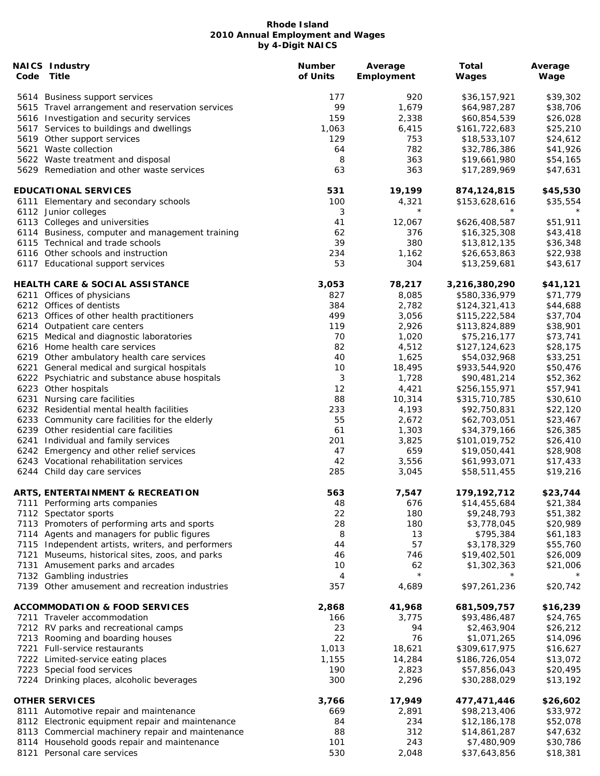| Code | <b>NAICS Industry</b><br>Title                    | <b>Number</b><br>of Units | Average<br>Employment | Total<br>Wages | Average<br>Wage |
|------|---------------------------------------------------|---------------------------|-----------------------|----------------|-----------------|
|      | 5614 Business support services                    | 177                       | 920                   | \$36,157,921   | \$39,302        |
|      | 5615 Travel arrangement and reservation services  | 99                        | 1,679                 | \$64,987,287   | \$38,706        |
|      | 5616 Investigation and security services          | 159                       | 2,338                 | \$60,854,539   | \$26,028        |
|      | 5617 Services to buildings and dwellings          | 1,063                     | 6,415                 | \$161,722,683  | \$25,210        |
|      | 5619 Other support services                       | 129                       | 753                   | \$18,533,107   | \$24,612        |
|      | 5621 Waste collection                             | 64                        | 782                   | \$32,786,386   | \$41,926        |
|      | 5622 Waste treatment and disposal                 | 8                         | 363                   | \$19,661,980   | \$54,165        |
|      | 5629 Remediation and other waste services         | 63                        | 363                   | \$17,289,969   | \$47,631        |
|      | <b>EDUCATIONAL SERVICES</b>                       | 531                       | 19,199                | 874,124,815    | \$45,530        |
|      | 6111 Elementary and secondary schools             | 100                       | 4,321                 | \$153,628,616  | \$35,554        |
|      | 6112 Junior colleges                              | 3                         | $^{\star}$            | $^\star$       | $^\star$        |
|      | 6113 Colleges and universities                    | 41                        | 12,067                | \$626,408,587  | \$51,911        |
|      | 6114 Business, computer and management training   | 62                        | 376                   | \$16,325,308   | \$43,418        |
|      | 6115 Technical and trade schools                  | 39                        | 380                   | \$13,812,135   | \$36,348        |
|      | 6116 Other schools and instruction                | 234                       | 1,162                 | \$26,653,863   | \$22,938        |
|      | 6117 Educational support services                 | 53                        | 304                   | \$13,259,681   | \$43,617        |
|      | <b>HEALTH CARE &amp; SOCIAL ASSISTANCE</b>        | 3,053                     | 78,217                | 3,216,380,290  | \$41,121        |
|      | 6211 Offices of physicians                        | 827                       | 8,085                 | \$580,336,979  | \$71,779        |
|      | 6212 Offices of dentists                          | 384                       | 2,782                 | \$124,321,413  | \$44,688        |
|      | 6213 Offices of other health practitioners        | 499                       | 3,056                 | \$115,222,584  | \$37,704        |
|      | 6214 Outpatient care centers                      | 119                       | 2,926                 | \$113,824,889  | \$38,901        |
|      | 6215 Medical and diagnostic laboratories          | 70                        | 1,020                 | \$75,216,177   | \$73,741        |
|      | 6216 Home health care services                    | 82                        | 4,512                 | \$127,124,623  | \$28,175        |
|      | 6219 Other ambulatory health care services        | 40                        | 1,625                 | \$54,032,968   | \$33,251        |
|      | 6221 General medical and surgical hospitals       | 10                        | 18,495                | \$933,544,920  | \$50,476        |
|      | 6222 Psychiatric and substance abuse hospitals    | 3                         | 1,728                 | \$90,481,214   | \$52,362        |
|      | 6223 Other hospitals                              | 12                        | 4,421                 | \$256,155,971  | \$57,941        |
|      | 6231 Nursing care facilities                      | 88                        | 10,314                | \$315,710,785  | \$30,610        |
|      | 6232 Residential mental health facilities         | 233                       | 4,193                 | \$92,750,831   | \$22,120        |
|      | 6233 Community care facilities for the elderly    | 55                        | 2,672                 | \$62,703,051   | \$23,467        |
|      | 6239 Other residential care facilities            | 61                        | 1,303                 | \$34,379,166   | \$26,385        |
|      | 6241 Individual and family services               | 201                       | 3,825                 | \$101,019,752  | \$26,410        |
|      | 6242 Emergency and other relief services          | 47                        | 659                   | \$19,050,441   | \$28,908        |
|      | 6243 Vocational rehabilitation services           | 42                        | 3,556                 | \$61,993,071   | \$17,433        |
|      | 6244 Child day care services                      | 285                       | 3,045                 | \$58,511,455   | \$19,216        |
|      | <b>ARTS, ENTERTAINMENT &amp; RECREATION</b>       | 563                       | 7.547                 | 179,192,712    | \$23,744        |
|      | 7111 Performing arts companies                    | 48                        | 676                   | \$14,455,684   | \$21,384        |
|      | 7112 Spectator sports                             | 22                        | 180                   | \$9,248,793    | \$51,382        |
|      | 7113 Promoters of performing arts and sports      | 28                        | 180                   | \$3,778,045    | \$20,989        |
|      | 7114 Agents and managers for public figures       | 8                         | 13                    | \$795,384      | \$61,183        |
|      | 7115 Independent artists, writers, and performers | 44                        | 57                    | \$3,178,329    | \$55,760        |
| 7121 | Museums, historical sites, zoos, and parks        | 46                        | 746                   | \$19,402,501   | \$26,009        |
|      | 7131 Amusement parks and arcades                  | 10                        | 62                    | \$1,302,363    | \$21,006        |
|      | 7132 Gambling industries                          | 4                         | $\star$               |                |                 |
|      | 7139 Other amusement and recreation industries    | 357                       | 4,689                 | \$97,261,236   | \$20,742        |
|      | <b>ACCOMMODATION &amp; FOOD SERVICES</b>          | 2,868                     | 41,968                | 681,509,757    | \$16,239        |
|      | 7211 Traveler accommodation                       | 166                       | 3,775                 | \$93,486,487   | \$24,765        |
|      | 7212 RV parks and recreational camps              | 23                        | 94                    | \$2,463,904    | \$26,212        |
|      | 7213 Rooming and boarding houses                  | 22                        | 76                    | \$1,071,265    | \$14,096        |
|      | 7221 Full-service restaurants                     | 1,013                     | 18,621                | \$309,617,975  | \$16,627        |
|      | 7222 Limited-service eating places                | 1,155                     | 14,284                | \$186,726,054  | \$13,072        |
|      | 7223 Special food services                        | 190                       | 2,823                 | \$57,856,043   | \$20,495        |
|      | 7224 Drinking places, alcoholic beverages         | 300                       | 2,296                 | \$30,288,029   | \$13,192        |
|      | <b>OTHER SERVICES</b>                             | 3,766                     | 17,949                | 477,471,446    | \$26,602        |
|      | 8111 Automotive repair and maintenance            | 669                       | 2,891                 | \$98,213,406   | \$33,972        |
|      | 8112 Electronic equipment repair and maintenance  | 84                        | 234                   | \$12,186,178   | \$52,078        |
|      | 8113 Commercial machinery repair and maintenance  | 88                        | 312                   | \$14,861,287   | \$47,632        |
|      | 8114 Household goods repair and maintenance       | 101                       | 243                   | \$7,480,909    | \$30,786        |
|      | 8121 Personal care services                       | 530                       | 2,048                 | \$37,643,856   | \$18,381        |